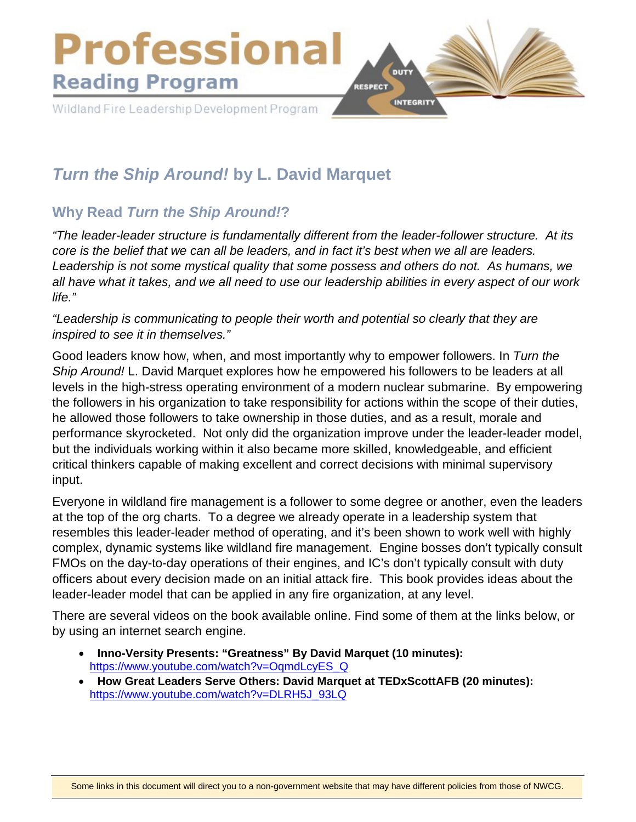

# *Turn the Ship Around!* **by L. David Marquet**

## **Why Read** *Turn the Ship Around!***?**

*"The leader-leader structure is fundamentally different from the leader-follower structure. At its core is the belief that we can all be leaders, and in fact it's best when we all are leaders. Leadership is not some mystical quality that some possess and others do not. As humans, we all have what it takes, and we all need to use our leadership abilities in every aspect of our work life."*

*"Leadership is communicating to people their worth and potential so clearly that they are inspired to see it in themselves."* 

Good leaders know how, when, and most importantly why to empower followers. In *Turn the Ship Around!* L. David Marquet explores how he empowered his followers to be leaders at all levels in the high-stress operating environment of a modern nuclear submarine. By empowering the followers in his organization to take responsibility for actions within the scope of their duties, he allowed those followers to take ownership in those duties, and as a result, morale and performance skyrocketed. Not only did the organization improve under the leader-leader model, but the individuals working within it also became more skilled, knowledgeable, and efficient critical thinkers capable of making excellent and correct decisions with minimal supervisory input.

Everyone in wildland fire management is a follower to some degree or another, even the leaders at the top of the org charts. To a degree we already operate in a leadership system that resembles this leader-leader method of operating, and it's been shown to work well with highly complex, dynamic systems like wildland fire management. Engine bosses don't typically consult FMOs on the day-to-day operations of their engines, and IC's don't typically consult with duty officers about every decision made on an initial attack fire. This book provides ideas about the leader-leader model that can be applied in any fire organization, at any level.

There are several videos on the book available online. Find some of them at the links below, or by using an internet search engine.

- **Inno-Versity Presents: "Greatness" By David Marquet (10 minutes):** [https://www.youtube.com/watch?v=OqmdLcyES\\_Q](https://www.youtube.com/watch?v=OqmdLcyES_Q)
- **How Great Leaders Serve Others: David Marquet at TEDxScottAFB (20 minutes):** [https://www.youtube.com/watch?v=DLRH5J\\_93LQ](https://www.youtube.com/watch?v=DLRH5J_93LQ)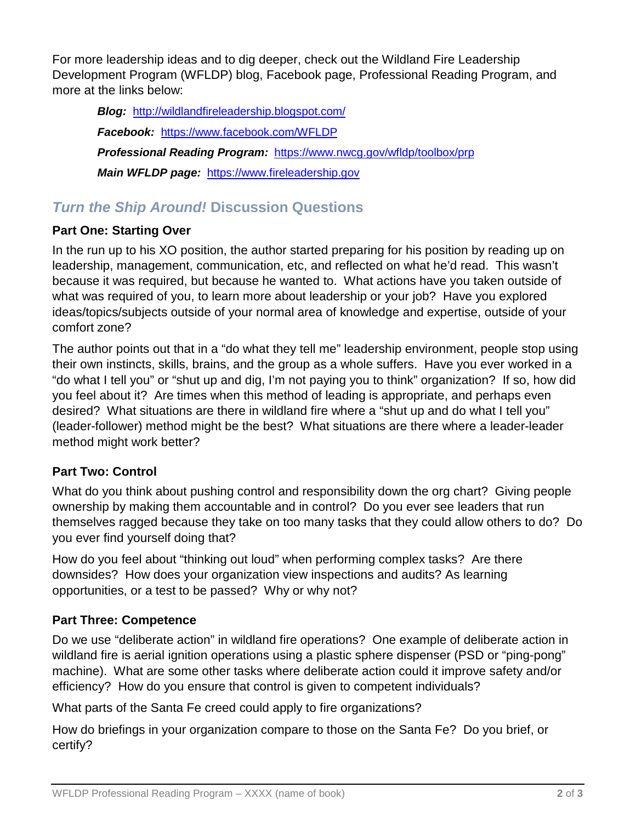For more leadership ideas and to dig deeper, check out the Wildland Fire Leadership Development Program (WFLDP) blog, Facebook page, Professional Reading Program, and more at the links below:

*Blog:* <http://wildlandfireleadership.blogspot.com/> *Facebook:* <https://www.facebook.com/WFLDP> *Professional Reading Program:* <https://www.nwcg.gov/wfldp/toolbox/prp> *Main WFLDP page:* [https://www.fireleadership.gov](https://www.fireleadership.gov/)

## *Turn the Ship Around!* **Discussion Questions**

### **Part One: Starting Over**

In the run up to his XO position, the author started preparing for his position by reading up on leadership, management, communication, etc, and reflected on what he'd read. This wasn't because it was required, but because he wanted to. What actions have you taken outside of what was required of you, to learn more about leadership or your job? Have you explored ideas/topics/subjects outside of your normal area of knowledge and expertise, outside of your comfort zone?

The author points out that in a "do what they tell me" leadership environment, people stop using their own instincts, skills, brains, and the group as a whole suffers. Have you ever worked in a "do what I tell you" or "shut up and dig, I'm not paying you to think" organization? If so, how did you feel about it? Are times when this method of leading is appropriate, and perhaps even desired? What situations are there in wildland fire where a "shut up and do what I tell you" (leader-follower) method might be the best? What situations are there where a leader-leader method might work better?

#### **Part Two: Control**

What do you think about pushing control and responsibility down the org chart? Giving people ownership by making them accountable and in control? Do you ever see leaders that run themselves ragged because they take on too many tasks that they could allow others to do? Do you ever find yourself doing that?

How do you feel about "thinking out loud" when performing complex tasks? Are there downsides? How does your organization view inspections and audits? As learning opportunities, or a test to be passed? Why or why not?

#### **Part Three: Competence**

Do we use "deliberate action" in wildland fire operations? One example of deliberate action in wildland fire is aerial ignition operations using a plastic sphere dispenser (PSD or "ping-pong" machine). What are some other tasks where deliberate action could it improve safety and/or efficiency? How do you ensure that control is given to competent individuals?

What parts of the Santa Fe creed could apply to fire organizations?

How do briefings in your organization compare to those on the Santa Fe? Do you brief, or certify?